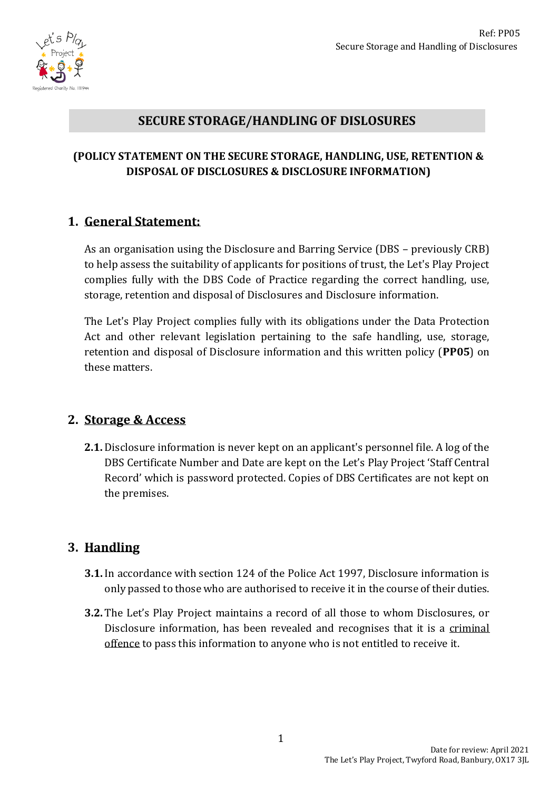

### **SECURE STORAGE/HANDLING OF DISLOSURES**

#### **(POLICY STATEMENT ON THE SECURE STORAGE, HANDLING, USE, RETENTION & DISPOSAL OF DISCLOSURES & DISCLOSURE INFORMATION)**

#### **1. General Statement:**

As an organisation using the Disclosure and Barring Service (DBS – previously CRB) to help assess the suitability of applicants for positions of trust, the Let's Play Project complies fully with the DBS Code of Practice regarding the correct handling, use, storage, retention and disposal of Disclosures and Disclosure information.

The Let's Play Project complies fully with its obligations under the Data Protection Act and other relevant legislation pertaining to the safe handling, use, storage, retention and disposal of Disclosure information and this written policy (**PP05**) on these matters.

#### **2. Storage & Access**

**2.1.** Disclosure information is never kept on an applicant's personnel file. A log of the DBS Certificate Number and Date are kept on the Let's Play Project 'Staff Central Record' which is password protected. Copies of DBS Certificates are not kept on the premises.

## **3. Handling**

- **3.1.** In accordance with section 124 of the Police Act 1997, Disclosure information is only passed to those who are authorised to receive it in the course of their duties.
- **3.2.** The Let's Play Project maintains a record of all those to whom Disclosures, or Disclosure information, has been revealed and recognises that it is a criminal offence to pass this information to anyone who is not entitled to receive it.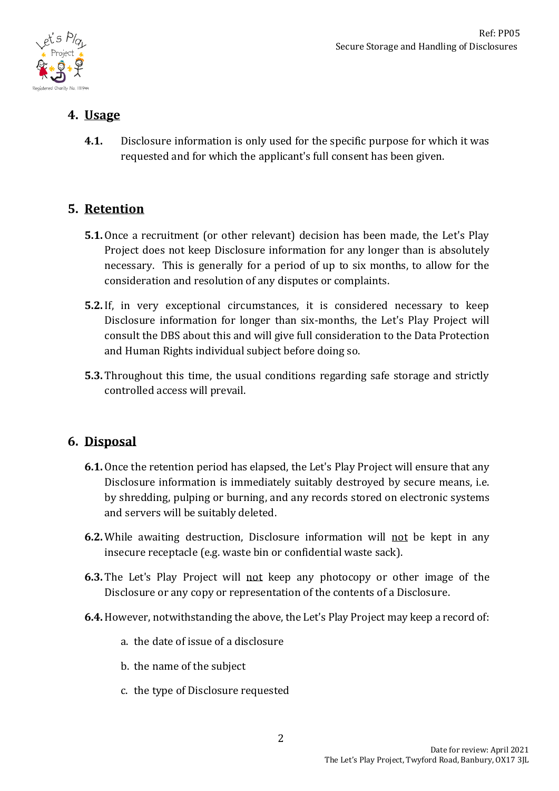

# **4. Usage**

**4.1.** Disclosure information is only used for the specific purpose for which it was requested and for which the applicant's full consent has been given.

# **5. Retention**

- **5.1.** Once a recruitment (or other relevant) decision has been made, the Let's Play Project does not keep Disclosure information for any longer than is absolutely necessary. This is generally for a period of up to six months, to allow for the consideration and resolution of any disputes or complaints.
- **5.2.** If, in very exceptional circumstances, it is considered necessary to keep Disclosure information for longer than six-months, the Let's Play Project will consult the DBS about this and will give full consideration to the Data Protection and Human Rights individual subject before doing so.
- **5.3.** Throughout this time, the usual conditions regarding safe storage and strictly controlled access will prevail.

## **6. Disposal**

- **6.1.** Once the retention period has elapsed, the Let's Play Project will ensure that any Disclosure information is immediately suitably destroyed by secure means, i.e. by shredding, pulping or burning, and any records stored on electronic systems and servers will be suitably deleted.
- **6.2.** While awaiting destruction, Disclosure information will not be kept in any insecure receptacle (e.g. waste bin or confidential waste sack).
- **6.3.** The Let's Play Project will not keep any photocopy or other image of the Disclosure or any copy or representation of the contents of a Disclosure.
- **6.4.**However, notwithstanding the above, the Let's Play Project may keep a record of:
	- a. the date of issue of a disclosure
	- b. the name of the subject
	- c. the type of Disclosure requested